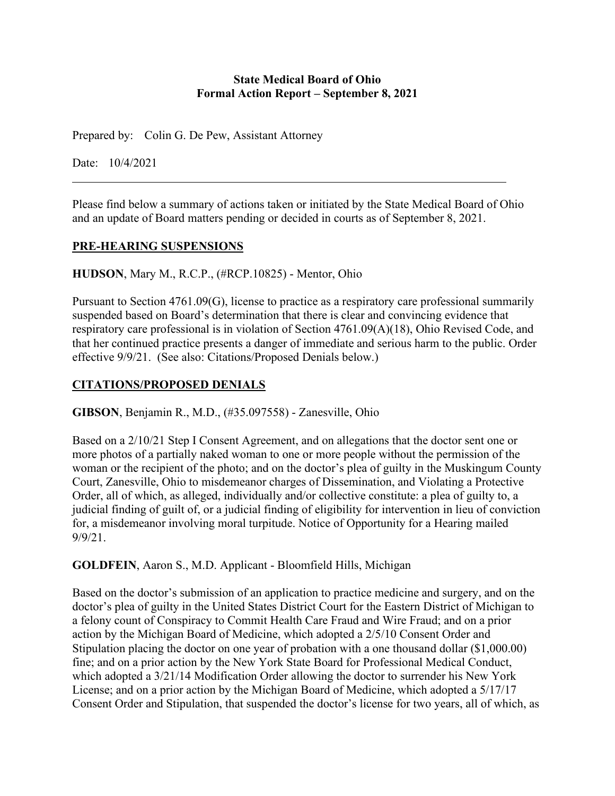#### **State Medical Board of Ohio Formal Action Report – September 8, 2021**

Prepared by: Colin G. De Pew, Assistant Attorney

Date: 10/4/2021

Please find below a summary of actions taken or initiated by the State Medical Board of Ohio and an update of Board matters pending or decided in courts as of September 8, 2021.

#### **PRE-HEARING SUSPENSIONS**

**HUDSON**, Mary M., R.C.P., (#RCP.10825) - Mentor, Ohio

Pursuant to Section 4761.09(G), license to practice as a respiratory care professional summarily suspended based on Board's determination that there is clear and convincing evidence that respiratory care professional is in violation of Section 4761.09(A)(18), Ohio Revised Code, and that her continued practice presents a danger of immediate and serious harm to the public. Order effective 9/9/21. (See also: Citations/Proposed Denials below.)

## **CITATIONS/PROPOSED DENIALS**

**GIBSON**, Benjamin R., M.D., (#35.097558) - Zanesville, Ohio

Based on a 2/10/21 Step I Consent Agreement, and on allegations that the doctor sent one or more photos of a partially naked woman to one or more people without the permission of the woman or the recipient of the photo; and on the doctor's plea of guilty in the Muskingum County Court, Zanesville, Ohio to misdemeanor charges of Dissemination, and Violating a Protective Order, all of which, as alleged, individually and/or collective constitute: a plea of guilty to, a judicial finding of guilt of, or a judicial finding of eligibility for intervention in lieu of conviction for, a misdemeanor involving moral turpitude. Notice of Opportunity for a Hearing mailed 9/9/21.

**GOLDFEIN**, Aaron S., M.D. Applicant - Bloomfield Hills, Michigan

Based on the doctor's submission of an application to practice medicine and surgery, and on the doctor's plea of guilty in the United States District Court for the Eastern District of Michigan to a felony count of Conspiracy to Commit Health Care Fraud and Wire Fraud; and on a prior action by the Michigan Board of Medicine, which adopted a 2/5/10 Consent Order and Stipulation placing the doctor on one year of probation with a one thousand dollar (\$1,000.00) fine; and on a prior action by the New York State Board for Professional Medical Conduct, which adopted a 3/21/14 Modification Order allowing the doctor to surrender his New York License; and on a prior action by the Michigan Board of Medicine, which adopted a 5/17/17 Consent Order and Stipulation, that suspended the doctor's license for two years, all of which, as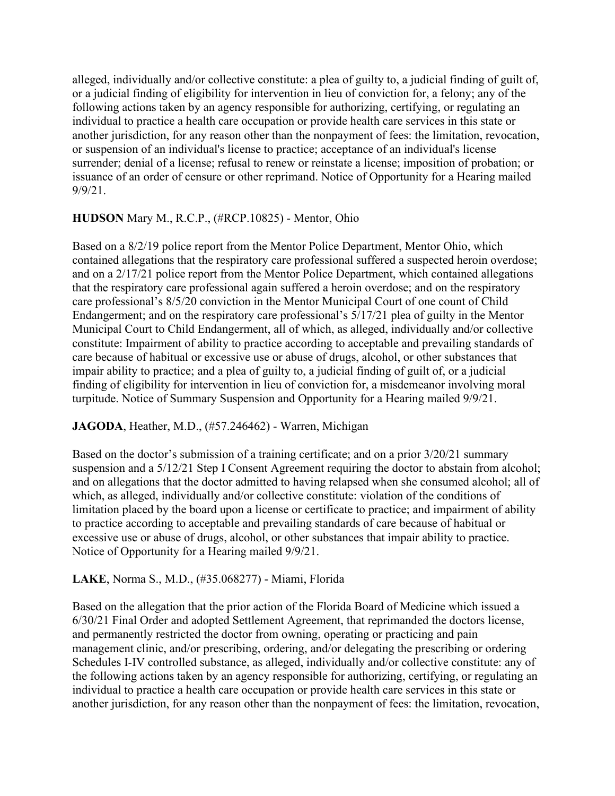alleged, individually and/or collective constitute: a plea of guilty to, a judicial finding of guilt of, or a judicial finding of eligibility for intervention in lieu of conviction for, a felony; any of the following actions taken by an agency responsible for authorizing, certifying, or regulating an individual to practice a health care occupation or provide health care services in this state or another jurisdiction, for any reason other than the nonpayment of fees: the limitation, revocation, or suspension of an individual's license to practice; acceptance of an individual's license surrender; denial of a license; refusal to renew or reinstate a license; imposition of probation; or issuance of an order of censure or other reprimand. Notice of Opportunity for a Hearing mailed 9/9/21.

# **HUDSON** Mary M., R.C.P., (#RCP.10825) - Mentor, Ohio

Based on a 8/2/19 police report from the Mentor Police Department, Mentor Ohio, which contained allegations that the respiratory care professional suffered a suspected heroin overdose; and on a 2/17/21 police report from the Mentor Police Department, which contained allegations that the respiratory care professional again suffered a heroin overdose; and on the respiratory care professional's 8/5/20 conviction in the Mentor Municipal Court of one count of Child Endangerment; and on the respiratory care professional's 5/17/21 plea of guilty in the Mentor Municipal Court to Child Endangerment, all of which, as alleged, individually and/or collective constitute: Impairment of ability to practice according to acceptable and prevailing standards of care because of habitual or excessive use or abuse of drugs, alcohol, or other substances that impair ability to practice; and a plea of guilty to, a judicial finding of guilt of, or a judicial finding of eligibility for intervention in lieu of conviction for, a misdemeanor involving moral turpitude. Notice of Summary Suspension and Opportunity for a Hearing mailed 9/9/21.

## **JAGODA**, Heather, M.D., (#57.246462) - Warren, Michigan

Based on the doctor's submission of a training certificate; and on a prior 3/20/21 summary suspension and a 5/12/21 Step I Consent Agreement requiring the doctor to abstain from alcohol; and on allegations that the doctor admitted to having relapsed when she consumed alcohol; all of which, as alleged, individually and/or collective constitute: violation of the conditions of limitation placed by the board upon a license or certificate to practice; and impairment of ability to practice according to acceptable and prevailing standards of care because of habitual or excessive use or abuse of drugs, alcohol, or other substances that impair ability to practice. Notice of Opportunity for a Hearing mailed 9/9/21.

## **LAKE**, Norma S., M.D., (#35.068277) - Miami, Florida

Based on the allegation that the prior action of the Florida Board of Medicine which issued a 6/30/21 Final Order and adopted Settlement Agreement, that reprimanded the doctors license, and permanently restricted the doctor from owning, operating or practicing and pain management clinic, and/or prescribing, ordering, and/or delegating the prescribing or ordering Schedules I-IV controlled substance, as alleged, individually and/or collective constitute: any of the following actions taken by an agency responsible for authorizing, certifying, or regulating an individual to practice a health care occupation or provide health care services in this state or another jurisdiction, for any reason other than the nonpayment of fees: the limitation, revocation,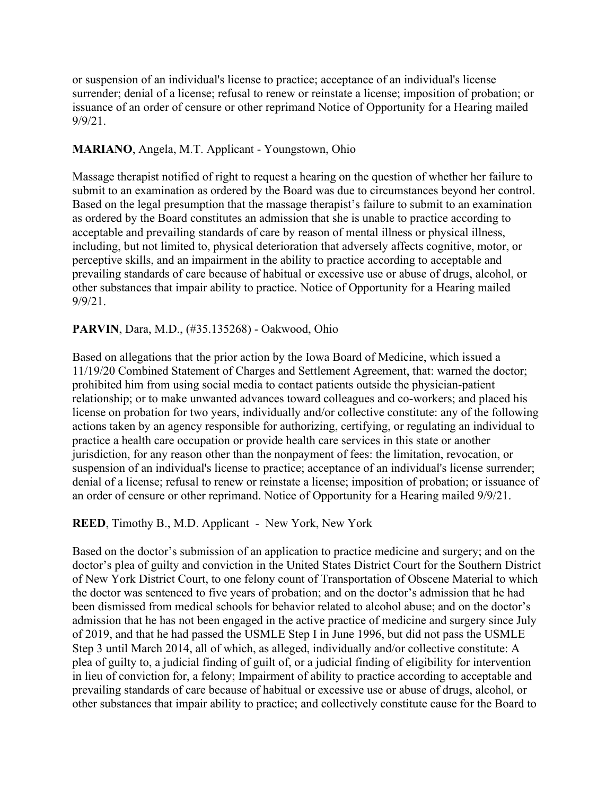or suspension of an individual's license to practice; acceptance of an individual's license surrender; denial of a license; refusal to renew or reinstate a license; imposition of probation; or issuance of an order of censure or other reprimand Notice of Opportunity for a Hearing mailed 9/9/21.

#### **MARIANO**, Angela, M.T. Applicant - Youngstown, Ohio

Massage therapist notified of right to request a hearing on the question of whether her failure to submit to an examination as ordered by the Board was due to circumstances beyond her control. Based on the legal presumption that the massage therapist's failure to submit to an examination as ordered by the Board constitutes an admission that she is unable to practice according to acceptable and prevailing standards of care by reason of mental illness or physical illness, including, but not limited to, physical deterioration that adversely affects cognitive, motor, or perceptive skills, and an impairment in the ability to practice according to acceptable and prevailing standards of care because of habitual or excessive use or abuse of drugs, alcohol, or other substances that impair ability to practice. Notice of Opportunity for a Hearing mailed 9/9/21.

#### **PARVIN**, Dara, M.D., (#35.135268) - Oakwood, Ohio

Based on allegations that the prior action by the Iowa Board of Medicine, which issued a 11/19/20 Combined Statement of Charges and Settlement Agreement, that: warned the doctor; prohibited him from using social media to contact patients outside the physician-patient relationship; or to make unwanted advances toward colleagues and co-workers; and placed his license on probation for two years, individually and/or collective constitute: any of the following actions taken by an agency responsible for authorizing, certifying, or regulating an individual to practice a health care occupation or provide health care services in this state or another jurisdiction, for any reason other than the nonpayment of fees: the limitation, revocation, or suspension of an individual's license to practice; acceptance of an individual's license surrender; denial of a license; refusal to renew or reinstate a license; imposition of probation; or issuance of an order of censure or other reprimand. Notice of Opportunity for a Hearing mailed 9/9/21.

#### **REED**, Timothy B., M.D. Applicant - New York, New York

Based on the doctor's submission of an application to practice medicine and surgery; and on the doctor's plea of guilty and conviction in the United States District Court for the Southern District of New York District Court, to one felony count of Transportation of Obscene Material to which the doctor was sentenced to five years of probation; and on the doctor's admission that he had been dismissed from medical schools for behavior related to alcohol abuse; and on the doctor's admission that he has not been engaged in the active practice of medicine and surgery since July of 2019, and that he had passed the USMLE Step I in June 1996, but did not pass the USMLE Step 3 until March 2014, all of which, as alleged, individually and/or collective constitute: A plea of guilty to, a judicial finding of guilt of, or a judicial finding of eligibility for intervention in lieu of conviction for, a felony; Impairment of ability to practice according to acceptable and prevailing standards of care because of habitual or excessive use or abuse of drugs, alcohol, or other substances that impair ability to practice; and collectively constitute cause for the Board to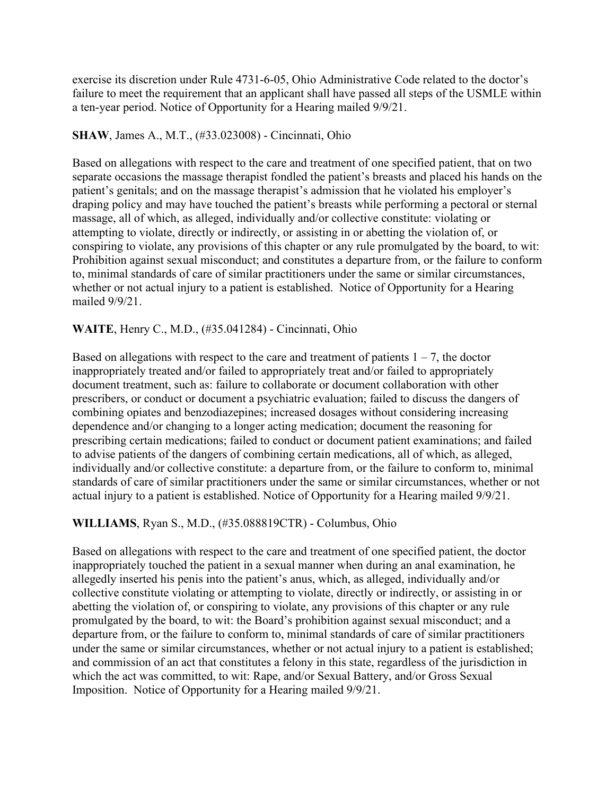exercise its discretion under Rule 4731-6-05, Ohio Administrative Code related to the doctor's failure to meet the requirement that an applicant shall have passed all steps of the USMLE within a ten-year period. Notice of Opportunity for a Hearing mailed 9/9/21.

### **SHAW**, James A., M.T., (#33.023008) - Cincinnati, Ohio

Based on allegations with respect to the care and treatment of one specified patient, that on two separate occasions the massage therapist fondled the patient's breasts and placed his hands on the patient's genitals; and on the massage therapist's admission that he violated his employer's draping policy and may have touched the patient's breasts while performing a pectoral or sternal massage, all of which, as alleged, individually and/or collective constitute: violating or attempting to violate, directly or indirectly, or assisting in or abetting the violation of, or conspiring to violate, any provisions of this chapter or any rule promulgated by the board, to wit: Prohibition against sexual misconduct; and constitutes a departure from, or the failure to conform to, minimal standards of care of similar practitioners under the same or similar circumstances, whether or not actual injury to a patient is established. Notice of Opportunity for a Hearing mailed 9/9/21.

#### **WAITE**, Henry C., M.D., (#35.041284) - Cincinnati, Ohio

Based on allegations with respect to the care and treatment of patients  $1 - 7$ , the doctor inappropriately treated and/or failed to appropriately treat and/or failed to appropriately document treatment, such as: failure to collaborate or document collaboration with other prescribers, or conduct or document a psychiatric evaluation; failed to discuss the dangers of combining opiates and benzodiazepines; increased dosages without considering increasing dependence and/or changing to a longer acting medication; document the reasoning for prescribing certain medications; failed to conduct or document patient examinations; and failed to advise patients of the dangers of combining certain medications, all of which, as alleged, individually and/or collective constitute: a departure from, or the failure to conform to, minimal standards of care of similar practitioners under the same or similar circumstances, whether or not actual injury to a patient is established. Notice of Opportunity for a Hearing mailed 9/9/21.

## **WILLIAMS**, Ryan S., M.D., (#35.088819CTR) - Columbus, Ohio

Based on allegations with respect to the care and treatment of one specified patient, the doctor inappropriately touched the patient in a sexual manner when during an anal examination, he allegedly inserted his penis into the patient's anus, which, as alleged, individually and/or collective constitute violating or attempting to violate, directly or indirectly, or assisting in or abetting the violation of, or conspiring to violate, any provisions of this chapter or any rule promulgated by the board, to wit: the Board's prohibition against sexual misconduct; and a departure from, or the failure to conform to, minimal standards of care of similar practitioners under the same or similar circumstances, whether or not actual injury to a patient is established; and commission of an act that constitutes a felony in this state, regardless of the jurisdiction in which the act was committed, to wit: Rape, and/or Sexual Battery, and/or Gross Sexual Imposition. Notice of Opportunity for a Hearing mailed 9/9/21.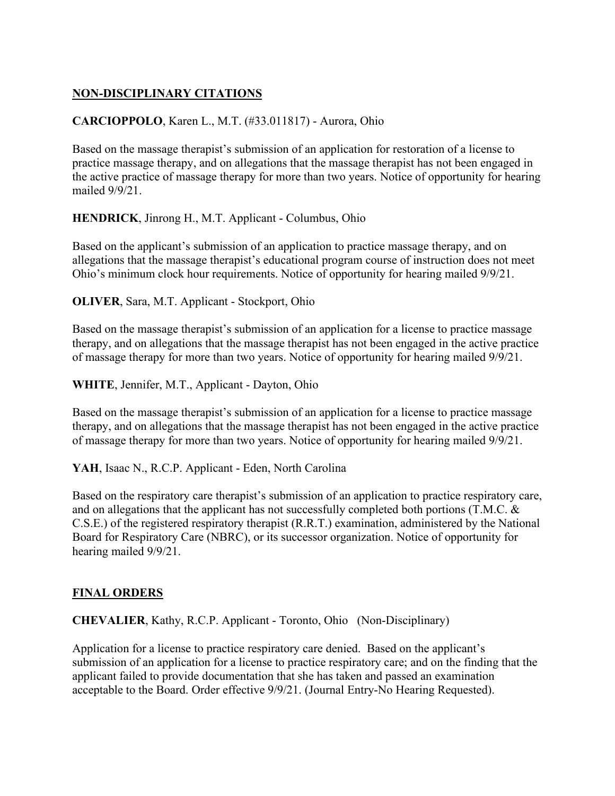# **NON-DISCIPLINARY CITATIONS**

## **CARCIOPPOLO**, Karen L., M.T. (#33.011817) - Aurora, Ohio

Based on the massage therapist's submission of an application for restoration of a license to practice massage therapy, and on allegations that the massage therapist has not been engaged in the active practice of massage therapy for more than two years. Notice of opportunity for hearing mailed 9/9/21.

**HENDRICK**, Jinrong H., M.T. Applicant - Columbus, Ohio

Based on the applicant's submission of an application to practice massage therapy, and on allegations that the massage therapist's educational program course of instruction does not meet Ohio's minimum clock hour requirements. Notice of opportunity for hearing mailed 9/9/21.

**OLIVER**, Sara, M.T. Applicant - Stockport, Ohio

Based on the massage therapist's submission of an application for a license to practice massage therapy, and on allegations that the massage therapist has not been engaged in the active practice of massage therapy for more than two years. Notice of opportunity for hearing mailed 9/9/21.

**WHITE**, Jennifer, M.T., Applicant - Dayton, Ohio

Based on the massage therapist's submission of an application for a license to practice massage therapy, and on allegations that the massage therapist has not been engaged in the active practice of massage therapy for more than two years. Notice of opportunity for hearing mailed 9/9/21.

**YAH**, Isaac N., R.C.P. Applicant - Eden, North Carolina

Based on the respiratory care therapist's submission of an application to practice respiratory care, and on allegations that the applicant has not successfully completed both portions (T.M.C. & C.S.E.) of the registered respiratory therapist (R.R.T.) examination, administered by the National Board for Respiratory Care (NBRC), or its successor organization. Notice of opportunity for hearing mailed 9/9/21.

## **FINAL ORDERS**

**CHEVALIER**, Kathy, R.C.P. Applicant - Toronto, Ohio (Non-Disciplinary)

Application for a license to practice respiratory care denied. Based on the applicant's submission of an application for a license to practice respiratory care; and on the finding that the applicant failed to provide documentation that she has taken and passed an examination acceptable to the Board. Order effective 9/9/21. (Journal Entry-No Hearing Requested).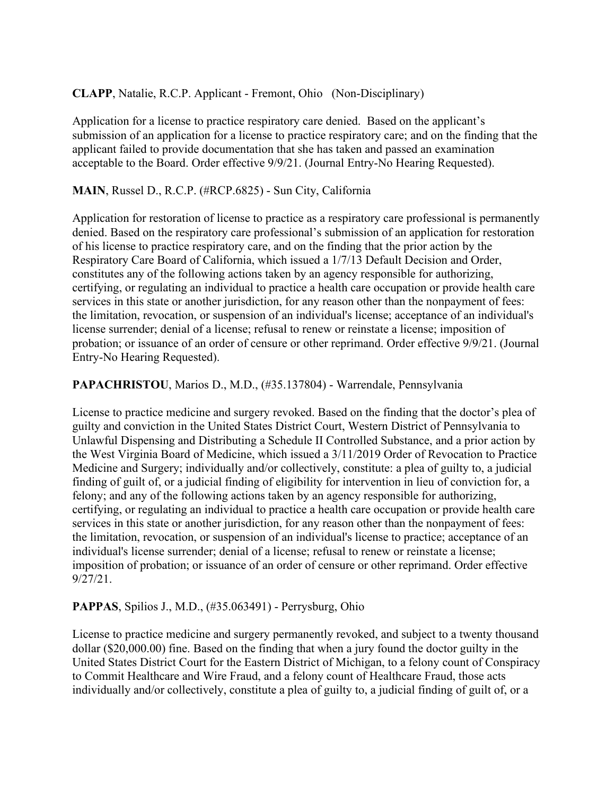# **CLAPP**, Natalie, R.C.P. Applicant - Fremont, Ohio (Non-Disciplinary)

Application for a license to practice respiratory care denied. Based on the applicant's submission of an application for a license to practice respiratory care; and on the finding that the applicant failed to provide documentation that she has taken and passed an examination acceptable to the Board. Order effective 9/9/21. (Journal Entry-No Hearing Requested).

### **MAIN**, Russel D., R.C.P. (#RCP.6825) - Sun City, California

Application for restoration of license to practice as a respiratory care professional is permanently denied. Based on the respiratory care professional's submission of an application for restoration of his license to practice respiratory care, and on the finding that the prior action by the Respiratory Care Board of California, which issued a 1/7/13 Default Decision and Order, constitutes any of the following actions taken by an agency responsible for authorizing, certifying, or regulating an individual to practice a health care occupation or provide health care services in this state or another jurisdiction, for any reason other than the nonpayment of fees: the limitation, revocation, or suspension of an individual's license; acceptance of an individual's license surrender; denial of a license; refusal to renew or reinstate a license; imposition of probation; or issuance of an order of censure or other reprimand. Order effective 9/9/21. (Journal Entry-No Hearing Requested).

#### **PAPACHRISTOU**, Marios D., M.D., (#35.137804) - Warrendale, Pennsylvania

License to practice medicine and surgery revoked. Based on the finding that the doctor's plea of guilty and conviction in the United States District Court, Western District of Pennsylvania to Unlawful Dispensing and Distributing a Schedule II Controlled Substance, and a prior action by the West Virginia Board of Medicine, which issued a 3/11/2019 Order of Revocation to Practice Medicine and Surgery; individually and/or collectively, constitute: a plea of guilty to, a judicial finding of guilt of, or a judicial finding of eligibility for intervention in lieu of conviction for, a felony; and any of the following actions taken by an agency responsible for authorizing, certifying, or regulating an individual to practice a health care occupation or provide health care services in this state or another jurisdiction, for any reason other than the nonpayment of fees: the limitation, revocation, or suspension of an individual's license to practice; acceptance of an individual's license surrender; denial of a license; refusal to renew or reinstate a license; imposition of probation; or issuance of an order of censure or other reprimand. Order effective 9/27/21.

## **PAPPAS**, Spilios J., M.D., (#35.063491) - Perrysburg, Ohio

License to practice medicine and surgery permanently revoked, and subject to a twenty thousand dollar (\$20,000.00) fine. Based on the finding that when a jury found the doctor guilty in the United States District Court for the Eastern District of Michigan, to a felony count of Conspiracy to Commit Healthcare and Wire Fraud, and a felony count of Healthcare Fraud, those acts individually and/or collectively, constitute a plea of guilty to, a judicial finding of guilt of, or a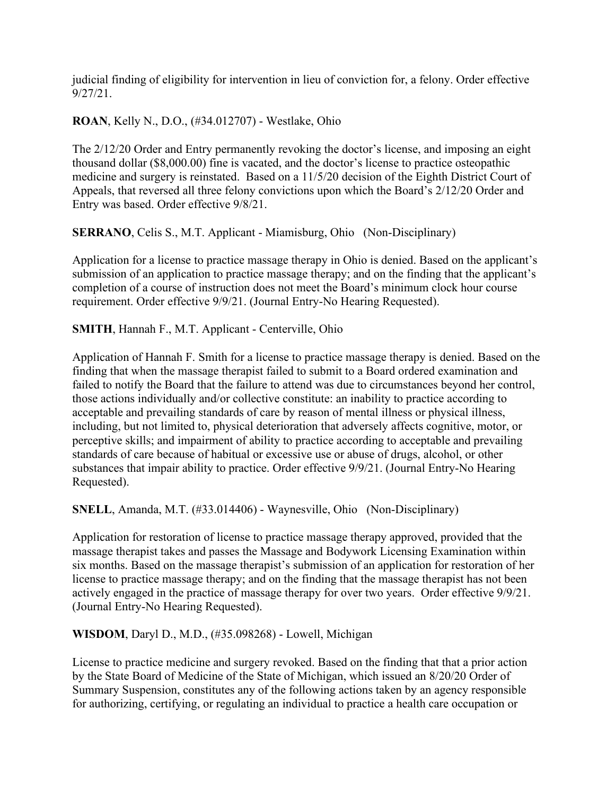judicial finding of eligibility for intervention in lieu of conviction for, a felony. Order effective 9/27/21.

**ROAN**, Kelly N., D.O., (#34.012707) - Westlake, Ohio

The 2/12/20 Order and Entry permanently revoking the doctor's license, and imposing an eight thousand dollar (\$8,000.00) fine is vacated, and the doctor's license to practice osteopathic medicine and surgery is reinstated. Based on a 11/5/20 decision of the Eighth District Court of Appeals, that reversed all three felony convictions upon which the Board's 2/12/20 Order and Entry was based. Order effective 9/8/21.

**SERRANO**, Celis S., M.T. Applicant - Miamisburg, Ohio (Non-Disciplinary)

Application for a license to practice massage therapy in Ohio is denied. Based on the applicant's submission of an application to practice massage therapy; and on the finding that the applicant's completion of a course of instruction does not meet the Board's minimum clock hour course requirement. Order effective 9/9/21. (Journal Entry-No Hearing Requested).

**SMITH**, Hannah F., M.T. Applicant - Centerville, Ohio

Application of Hannah F. Smith for a license to practice massage therapy is denied. Based on the finding that when the massage therapist failed to submit to a Board ordered examination and failed to notify the Board that the failure to attend was due to circumstances beyond her control, those actions individually and/or collective constitute: an inability to practice according to acceptable and prevailing standards of care by reason of mental illness or physical illness, including, but not limited to, physical deterioration that adversely affects cognitive, motor, or perceptive skills; and impairment of ability to practice according to acceptable and prevailing standards of care because of habitual or excessive use or abuse of drugs, alcohol, or other substances that impair ability to practice. Order effective 9/9/21. (Journal Entry-No Hearing Requested).

**SNELL**, Amanda, M.T. (#33.014406) - Waynesville, Ohio (Non-Disciplinary)

Application for restoration of license to practice massage therapy approved, provided that the massage therapist takes and passes the Massage and Bodywork Licensing Examination within six months. Based on the massage therapist's submission of an application for restoration of her license to practice massage therapy; and on the finding that the massage therapist has not been actively engaged in the practice of massage therapy for over two years. Order effective 9/9/21. (Journal Entry-No Hearing Requested).

**WISDOM**, Daryl D., M.D., (#35.098268) - Lowell, Michigan

License to practice medicine and surgery revoked. Based on the finding that that a prior action by the State Board of Medicine of the State of Michigan, which issued an 8/20/20 Order of Summary Suspension, constitutes any of the following actions taken by an agency responsible for authorizing, certifying, or regulating an individual to practice a health care occupation or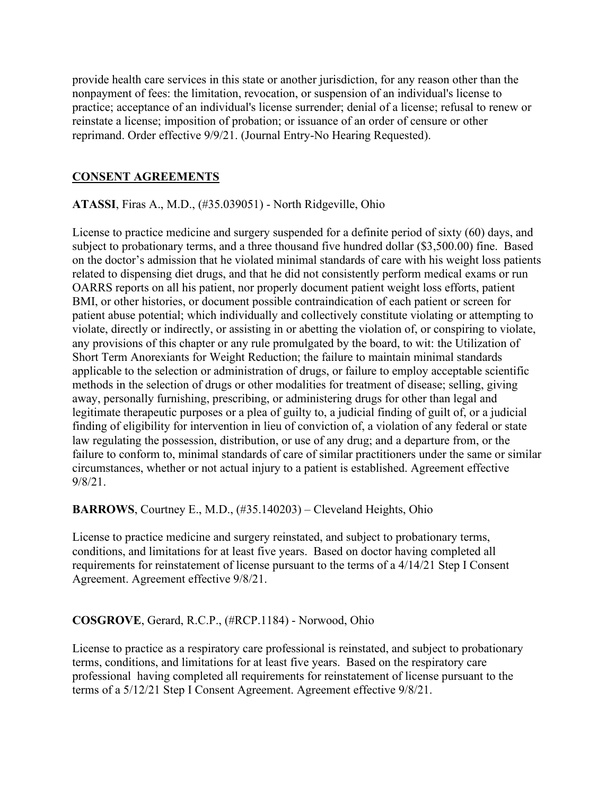provide health care services in this state or another jurisdiction, for any reason other than the nonpayment of fees: the limitation, revocation, or suspension of an individual's license to practice; acceptance of an individual's license surrender; denial of a license; refusal to renew or reinstate a license; imposition of probation; or issuance of an order of censure or other reprimand. Order effective 9/9/21. (Journal Entry-No Hearing Requested).

### **CONSENT AGREEMENTS**

**ATASSI**, Firas A., M.D., (#35.039051) - North Ridgeville, Ohio

License to practice medicine and surgery suspended for a definite period of sixty (60) days, and subject to probationary terms, and a three thousand five hundred dollar (\$3,500.00) fine. Based on the doctor's admission that he violated minimal standards of care with his weight loss patients related to dispensing diet drugs, and that he did not consistently perform medical exams or run OARRS reports on all his patient, nor properly document patient weight loss efforts, patient BMI, or other histories, or document possible contraindication of each patient or screen for patient abuse potential; which individually and collectively constitute violating or attempting to violate, directly or indirectly, or assisting in or abetting the violation of, or conspiring to violate, any provisions of this chapter or any rule promulgated by the board, to wit: the Utilization of Short Term Anorexiants for Weight Reduction; the failure to maintain minimal standards applicable to the selection or administration of drugs, or failure to employ acceptable scientific methods in the selection of drugs or other modalities for treatment of disease; selling, giving away, personally furnishing, prescribing, or administering drugs for other than legal and legitimate therapeutic purposes or a plea of guilty to, a judicial finding of guilt of, or a judicial finding of eligibility for intervention in lieu of conviction of, a violation of any federal or state law regulating the possession, distribution, or use of any drug; and a departure from, or the failure to conform to, minimal standards of care of similar practitioners under the same or similar circumstances, whether or not actual injury to a patient is established. Agreement effective 9/8/21.

**BARROWS**, Courtney E., M.D., (#35.140203) – Cleveland Heights, Ohio

License to practice medicine and surgery reinstated, and subject to probationary terms, conditions, and limitations for at least five years. Based on doctor having completed all requirements for reinstatement of license pursuant to the terms of a 4/14/21 Step I Consent Agreement. Agreement effective 9/8/21.

## **COSGROVE**, Gerard, R.C.P., (#RCP.1184) - Norwood, Ohio

License to practice as a respiratory care professional is reinstated, and subject to probationary terms, conditions, and limitations for at least five years. Based on the respiratory care professional having completed all requirements for reinstatement of license pursuant to the terms of a 5/12/21 Step I Consent Agreement. Agreement effective 9/8/21.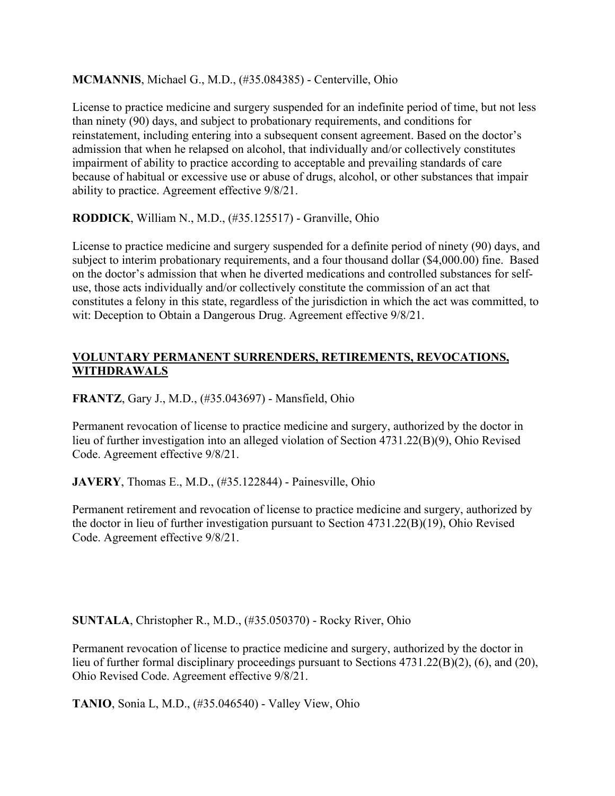**MCMANNIS**, Michael G., M.D., (#35.084385) - Centerville, Ohio

License to practice medicine and surgery suspended for an indefinite period of time, but not less than ninety (90) days, and subject to probationary requirements, and conditions for reinstatement, including entering into a subsequent consent agreement. Based on the doctor's admission that when he relapsed on alcohol, that individually and/or collectively constitutes impairment of ability to practice according to acceptable and prevailing standards of care because of habitual or excessive use or abuse of drugs, alcohol, or other substances that impair ability to practice. Agreement effective 9/8/21.

**RODDICK**, William N., M.D., (#35.125517) - Granville, Ohio

License to practice medicine and surgery suspended for a definite period of ninety (90) days, and subject to interim probationary requirements, and a four thousand dollar (\$4,000.00) fine. Based on the doctor's admission that when he diverted medications and controlled substances for selfuse, those acts individually and/or collectively constitute the commission of an act that constitutes a felony in this state, regardless of the jurisdiction in which the act was committed, to wit: Deception to Obtain a Dangerous Drug. Agreement effective 9/8/21.

# **VOLUNTARY PERMANENT SURRENDERS, RETIREMENTS, REVOCATIONS, WITHDRAWALS**

**FRANTZ**, Gary J., M.D., (#35.043697) - Mansfield, Ohio

Permanent revocation of license to practice medicine and surgery, authorized by the doctor in lieu of further investigation into an alleged violation of Section 4731.22(B)(9), Ohio Revised Code. Agreement effective 9/8/21.

**JAVERY**, Thomas E., M.D., (#35.122844) - Painesville, Ohio

Permanent retirement and revocation of license to practice medicine and surgery, authorized by the doctor in lieu of further investigation pursuant to Section 4731.22(B)(19), Ohio Revised Code. Agreement effective 9/8/21.

**SUNTALA**, Christopher R., M.D., (#35.050370) - Rocky River, Ohio

Permanent revocation of license to practice medicine and surgery, authorized by the doctor in lieu of further formal disciplinary proceedings pursuant to Sections 4731.22(B)(2), (6), and (20), Ohio Revised Code. Agreement effective 9/8/21.

**TANIO**, Sonia L, M.D., (#35.046540) - Valley View, Ohio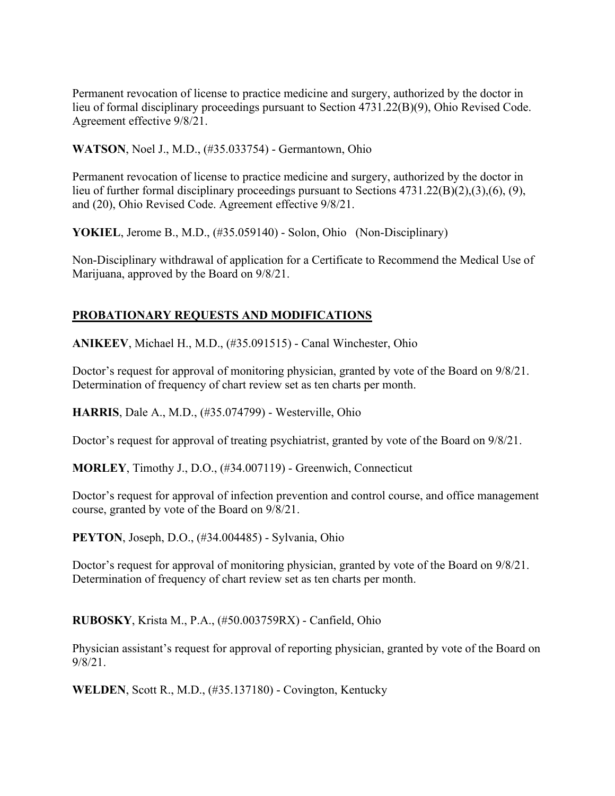Permanent revocation of license to practice medicine and surgery, authorized by the doctor in lieu of formal disciplinary proceedings pursuant to Section 4731.22(B)(9), Ohio Revised Code. Agreement effective 9/8/21.

**WATSON**, Noel J., M.D., (#35.033754) - Germantown, Ohio

Permanent revocation of license to practice medicine and surgery, authorized by the doctor in lieu of further formal disciplinary proceedings pursuant to Sections 4731.22(B)(2),(3),(6), (9), and (20), Ohio Revised Code. Agreement effective 9/8/21.

YOKIEL, Jerome B., M.D., (#35.059140) - Solon, Ohio (Non-Disciplinary)

Non-Disciplinary withdrawal of application for a Certificate to Recommend the Medical Use of Marijuana, approved by the Board on 9/8/21.

## **PROBATIONARY REQUESTS AND MODIFICATIONS**

**ANIKEEV**, Michael H., M.D., (#35.091515) - Canal Winchester, Ohio

Doctor's request for approval of monitoring physician, granted by vote of the Board on 9/8/21. Determination of frequency of chart review set as ten charts per month.

**HARRIS**, Dale A., M.D., (#35.074799) - Westerville, Ohio

Doctor's request for approval of treating psychiatrist, granted by vote of the Board on 9/8/21.

**MORLEY**, Timothy J., D.O., (#34.007119) - Greenwich, Connecticut

Doctor's request for approval of infection prevention and control course, and office management course, granted by vote of the Board on 9/8/21.

**PEYTON**, Joseph, D.O., (#34.004485) - Sylvania, Ohio

Doctor's request for approval of monitoring physician, granted by vote of the Board on 9/8/21. Determination of frequency of chart review set as ten charts per month.

**RUBOSKY**, Krista M., P.A., (#50.003759RX) - Canfield, Ohio

Physician assistant's request for approval of reporting physician, granted by vote of the Board on 9/8/21.

**WELDEN**, Scott R., M.D., (#35.137180) - Covington, Kentucky